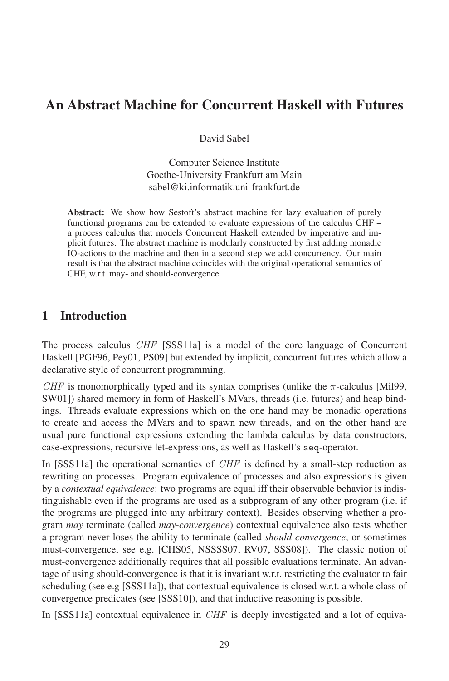# An Abstract Machine for Concurrent Haskell with Futures

David Sabel

Computer Science Institute Goethe-University Frankfurt am Main sabel@ki.informatik.uni-frankfurt.de

Abstract: We show how Sestoft's abstract machine for lazy evaluation of purely functional programs can be extended to evaluate expressions of the calculus CHF – a process calculus that models Concurrent Haskell extended by imperative and implicit futures. The abstract machine is modularly constructed by first adding monadic IO-actions to the machine and then in a second step we add concurrency. Our main result is that the abstract machine coincides with the original operational semantics of CHF, w.r.t. may- and should-convergence.

# 1 Introduction

The process calculus CHF [SSS11a] is a model of the core language of Concurrent Haskell [PGF96, Pey01, PS09] but extended by implicit, concurrent futures which allow a declarative style of concurrent programming.

CHF is monomorphically typed and its syntax comprises (unlike the  $\pi$ -calculus [Mil99, SW01) shared memory in form of Haskell's MVars, threads (i.e. futures) and heap bindings. Threads evaluate expressions which on the one hand may be monadic operations to create and access the MVars and to spawn new threads, and on the other hand are usual pure functional expressions extending the lambda calculus by data constructors, case-expressions, recursive let-expressions, as well as Haskell's seq-operator.

In [SSS11a] the operational semantics of  $CHF$  is defined by a small-step reduction as rewriting on processes. Program equivalence of processes and also expressions is given by a *contextual equivalence*: two programs are equal iff their observable behavior is indistinguishable even if the programs are used as a subprogram of any other program (i.e. if the programs are plugged into any arbitrary context). Besides observing whether a program *may* terminate (called *may-convergence*) contextual equivalence also tests whether a program never loses the ability to terminate (called *should-convergence*, or sometimes must-convergence, see e.g. [CHS05, NSSSS07, RV07, SSS08]). The classic notion of must convergence, see e.g. [CH305, N388807, KV07, S8800]). The classic holion of must-convergence additionally requires that all possible evaluations terminate. An advanthese convergence did to hard people of the evaluation of the evaluator of the transmission of the evaluator to fair scheduling (see e.g [SSS11a]), that contextual equivalence is closed w.r.t. a whole class of convergence predicates (see [SSS10]), and that inductive reasoning is possible.

In [SSS11a] contextual equivalence in  $CHF$  is deeply investigated and a lot of equiva-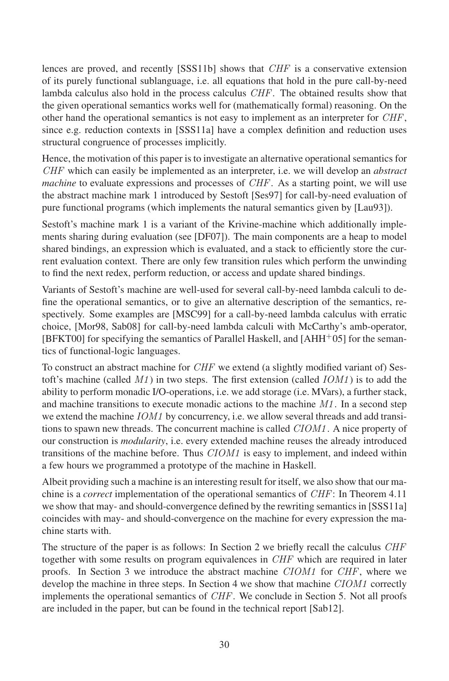lences are proved, and recently [SSS11b] shows that CHF is a conservative extension of its purely functional sublanguage, i.e. all equations that hold in the pure call-by-need lambda calculus also hold in the process calculus *CHF*. The obtained results show that the given operational semantics works well for (mathematically formal) reasoning. On the other hand the operational semantics is not easy to implement as an interpreter for *CHF*, since e.g. reduction contexts in [SSS11a] have a complex definition and reduction uses structural congruence of processes implicitly.

Hence, the motivation of this paper is to investigate an alternative operational semantics for CHF which can easily be implemented as an interpreter, i.e. we will develop an *abstract machine* to evaluate expressions and processes of *CHF*. As a starting point, we will use the abstract machine mark 1 introduced by Sestoft [Ses97] for call-by-need evaluation of pure functional programs (which implements the natural semantics given by [Lau93]).

Sestoft's machine mark 1 is a variant of the Krivine-machine which additionally implements sharing during evaluation (see [DF07]). The main components are a heap to model shared bindings, an expression which is evaluated, and a stack to efficiently store the current evaluation context. There are only few transition rules which perform the unwinding to find the next redex, perform reduction, or access and update shared bindings.

Variants of Sestoft's machine are well-used for several call-by-need lambda calculi to define the operational semantics, or to give an alternative description of the semantics, respectively. Some examples are [MSC99] for a call-by-need lambda calculus with erratic choice, [Mor98, Sab08] for call-by-need lambda calculi with McCarthy's amb-operator,  $[BFKT00]$  for specifying the semantics of Parallel Haskell, and  $[AHH<sup>+</sup>05]$  for the semantics of functional-logic languages.

To construct an abstract machine for  $CHF$  we extend (a slightly modified variant of) Sestoft's machine (called *M1*) in two steps. The first extension (called *IOM1*) is to add the ability to perform monadic I/O-operations, i.e. we add storage (i.e. MVars), a further stack, and machine transitions to execute monadic actions to the machine  $M1$ . In a second step we extend the machine IOM1 by concurrency, i.e. we allow several threads and add transitions to spawn new threads. The concurrent machine is called *CIOM1*. A nice property of our construction is *modularity*, i.e. every extended machine reuses the already introduced transitions of the machine before. Thus *CIOM1* is easy to implement, and indeed within a few hours we programmed a prototype of the machine in Haskell.

Albeit providing such a machine is an interesting result for itself, we also show that our machine is <sup>a</sup> *correct* implementation of the operational semantics of CHF: In Theorem 4.11 we show that may- and should-convergence defined by the rewriting semantics in [SSS11a] coincides with may- and should-convergence on the machine for every expression the macomences with m<br>chine starts with.

The structure of the paper is as follows: In Section 2 we briefly recall the calculus CHF the structure of the paper is as follows. In section 2 we often from the calculus OIII together with some results on program equivalences in *CHF* which are required in later proofs. In Section 3 we introduce the abstract machine *CIOM1* for *CHF*, where we develop the machine in three steps. In Section 4 we show that machine *CIOM1* correctly implements the operational semantics of *CHF*. We conclude in Section 5. Not all proofs are included in the paper, but can be found in the technical report [Sab12].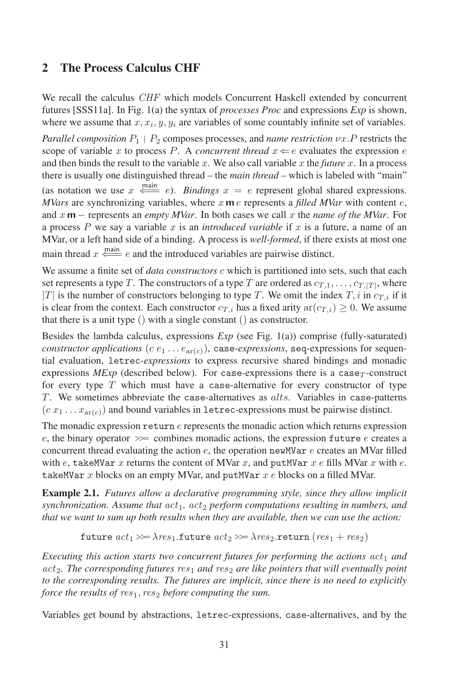# 2 The Process Calculus CHF

We recall the calculus CHF which models Concurrent Haskell extended by concurrent futures [SSS11a]. In Fig. 1(a) the syntax of *processes Proc* and expressions *Exp* is shown, where we assume that  $x, x_i, y, y_i$  are variables of some countably infinite set of variables.

*Parallel composition*  $P_1$  |  $P_2$  composes processes, and *name restriction*  $\nu x.P$  restricts the scope of variable x to process P. A *concurrent thread*  $x \leftarrow e$  evaluates the expression expression expression expression expression expression of  $\frac{1}{2}$ and then binds the result to the variable  $x$ . We also call variable  $x$  the *future*  $x$ . In a process there is usually one distinguished thread – the *main thread* – which is labeled with "main"

(as notation we use  $x \stackrel{\text{main}}{\Longleftarrow} e$ ). *Bindings*  $x = e$  represent global shared expressions. *MVars* are synchronizing variables, where  $x \mathbf{m} e$  represents a *filled MVar* with content  $e$ , and <sup>x</sup> **<sup>m</sup>** <sup>−</sup> represents an *empty MVar*. In both cases we call <sup>x</sup> the *name of the MVar*. For a process P we say a variable x is an *introduced variable* if x is a future, a name of an MVar, oraleft hand side of a binding. A process is *well-formed*, if there exists at most one main thread  $x \stackrel{\text{main}}{\Longleftarrow} e$  and the introduced variables are pairwise distinct.

We assume a finite set of *data constructors* <sup>c</sup> which is partitioned into sets, such that each set represents a type T. The constructors of a type T are ordered as  $c_{T,1},\ldots,c_{T,|T|}$ , where  $|T|$  is the number of constructors belonging to type T. We omit the index T, i in  $c_{T,i}$  if it is clear from the context. Each constructor  $c_{T,i}$  has a fixed arity  $ar(c_{T,i}) \ge 0$ . We assume that there is a unit type () with a single constant () as constructor.

Besides the lambda calculus, expressions *Exp* (see Fig. 1(a)) comprise (fully-saturated) *constructor applications*  $(c \, e_1 \ldots e_{\text{ar}(c)})$ , case-*expressions*, seq-expressions for sequen $t_{\text{rel}}$  and  $t_{\text{rel}}$  evaluation, letrec-expressions to express recursive shared bindings and monadic expressions  $MExp$  (described below). For case-expressions there is a case $_T$ -construct  $f$  for every type  $T$  which must have a case-alternative for every constructor of type  $T$ . We sometimes abbreviate the case-alternatives as  $alts$ . Variables in case-patterns  $(c x_1 ... x_{\text{ar}(c)})$  and bound variables in letrec-expressions must be pairwise distinct.

The monadic expression  $return\ e$  represents the monadic action which returns expression e, the binary operator  $\gg$  combines monadic actions, the expression future e creates a concurrent thread evaluating the action  $e$ , the operation newMVar  $e$  creates an MVar filled with  $e$ , takeMVar x returns the content of MVar  $x$ , and putMVar  $x$  e fills MVar  $x$  with  $e$ . takeMVar x blocks on an empty MVar, and putMVar  $x e$  blocks on a filled MVar.

Example 2.1. *Futures allow a declarative programming style, since they allow implicit synchronization. Assume that*  $act_1$ ,  $act_2$  *perform computations resulting in numbers, and that we want to sum up both results when they are available, then we can use the action:*

future  $act_1 \gg \lambda res_1$ .future  $act_2 \gg \lambda res_2$ .return  $(res_1 + res_2)$ 

*Executing* this action starts two concurrent futures for performing the actions  $act_1$  and  $act<sub>2</sub>$ *. The corresponding futures*  $res<sub>1</sub>$  *and*  $res<sub>2</sub>$  *are like pointers that will eventually point to the corresponding results. The futures are implicit, since there is no need to explicitly force the results of res<sub>1</sub>, res<sub>2</sub> before computing the sum.* 

Variables get bound by abstractions, letrec-expressions, case-alternatives, and by the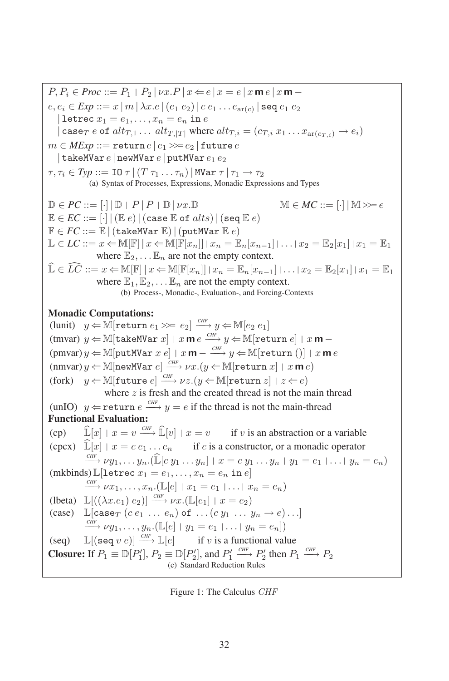$P, P_i \in \text{Proc} ::= P_1 \mid P_2 \mid \nu x. P \mid x \Leftarrow e \mid x = e \mid x \mathbf{m} e \mid x \mathbf{m}$  $e, e_i \in Exp ::= x | m | \lambda x . e | (e_1 e_2) | c e_1 ... e_{ar(c)} | \texttt{seq} e_1 e_2$ | letrec  $x_1 = e_1, \ldots, x_n = e_n$  in e | case<sub>T</sub> e of  $alt_{T,1} \ldots alt_{T,|T|}$  where  $alt_{T,i} = (c_{T,i} x_1 \ldots x_{ar(c_{T,i})} \rightarrow e_i)$  $m \in MExp ::=$  return  $e \mid e_1 \gg e_2 \mid$  future  $e$ | takeMVar  $e$  | newMVar  $e$  | putMVar  $e_1 e_2$  $\tau, \tau_i \in \text{Typ} ::= \text{IO } \tau \mid (T \tau_1 \ldots \tau_n) \mid \text{MVar } \tau \mid \tau_1 \rightarrow \tau_2$ (a) Syntax of Processes, Expressions, Monadic Expressions and Types  $\mathbb{D} \in PC ::= [\cdot] | \mathbb{D} | P | P | \mathbb{D} | \nu x. \mathbb{D}$  M  $\in MC ::= [\cdot] | \mathbb{M} \gg e$  $\mathbb{E} \in EC ::= [\cdot] | (\mathbb{E} e) | (\text{case } \mathbb{E} \text{ of } alts) | (\text{seq } \mathbb{E} e)$  $\mathbb{F} \in FC ::= \mathbb{E} | (\text{takenVar }\mathbb{E}) | (\text{putMVar }\mathbb{E} e)$ L ∈ *LC* ::=  $x \leftarrow \mathbb{M}[\mathbb{F} | x \in \mathbb{M}[\mathbb{F}[x_n] | x_n = \mathbb{E}_n[x_{n-1}] | \dots | x_2 = \mathbb{E}_2[x_1 | x_1 = \mathbb{E}_1]$ where  $\mathbb{E}_2, \dots \mathbb{E}_n$  are not the empty context.  $\widehat{\mathbb{L}} \in \widehat{LC} ::= x \leftarrow \mathbb{M}[\mathbb{F} | x \in \mathbb{M}[\mathbb{F}[x_n]| | x_n = \mathbb{E}_n[x_{n-1}] | \dots | x_2 = \mathbb{E}_2[x_1] | x_1 = \mathbb{E}_1$ where  $\mathbb{E}_1, \mathbb{E}_2, \ldots \mathbb{E}_n$  are not the empty context.  $(1, 2, \ldots, 2)$  and the context state  $\sum_{i=1}^{n}$  is contexted. Monadic Computations: (lunit)  $y \in \mathbb{M}$ [return  $e_1 \gg e_2$ ]  $\frac{CF}{C}$   $y \in \mathbb{M}$ [ $e_2$   $e_1$ ] (tmvar)  $y \leftarrow \mathbb{M}[\texttt{takeMVar} \ x] | x \mathbf{m} e \frac{c_{HF}}{c_{HF}} y \leftarrow \mathbb{M}[\texttt{return} \ e] | x \mathbf{m} (pmvar)y \leftarrow \mathbb{M}[putMVar \ x \ e] | x \ \mathbf{m} - \frac{CHF}{\sqrt{H}} y \leftarrow \mathbb{M}[return ()] | x \ \mathbf{m} \ e$  $(\text{nnvar}) y \leftarrow \mathbb{M}[\text{newMVar } e] \xrightarrow{CHF} \nu x. (y \leftarrow \mathbb{M}[\text{return } x] + x \mathbf{m} e)$ (fork)  $y \in \mathbb{M}$ [future  $e$ ]  $\xrightarrow{CHF} \nu z. (y \in \mathbb{M}$ [return  $z$ ]  $z \Leftarrow e$ ) where z is fresh and the created thread is not the main thread (unIO)  $y \leftarrow$  return  $e \xrightarrow{CHF} y = e$  if the thread is not the main-thread Functional Evaluation:  $(cp)$  $\widehat{\mathbb{L}}[x] | x = v \xrightarrow{CHF} \widehat{\mathbb{L}}[v] | x = v$ *if*  $v$  is an abstraction or a variable (cpcx)  $\widehat{\mathbb{L}}[x] | x = c e_1 ... e_n$  if c is a constructor, or a monadic operator  $\overrightarrow{CHF} \nu y_1, \ldots y_n$ . ( $\widehat{\mathbb{L}}[c y_1 \ldots y_n | x = c y_1 \ldots y_n | y_1 = e_1 | \ldots | y_n = e_n]$  $(mkbinds) \mathbb{L}[letrec x_1 = e_1, \dots, x_n = e_n \text{ in } e]$  $\stackrel{\text{CHF}}{\longrightarrow} \nu x_1, \ldots, x_n$ .  $(\mathbb{L}[e] \mid x_1 = e_1 \mid \ldots \mid x_n = e_n)$ (lbeta)  $\mathbb{L}[(\lambda x.e_1) e_2] \xrightarrow{CH} \nu x. (\mathbb{L}[e_1] | x = e_2)$ <br>(case)  $\mathbb{L}[\text{case}_T (ce_1 ... e_n) \text{ of } ... (cy_1 ... y_n \rightarrow e) ...]$  $\stackrel{CHF}{\longrightarrow} \nu y_1, \ldots, y_n. (\mathbb{L}[e] \mid y_1 = e_1 \mid \ldots \mid y_n = e_n])$ (seq) $\mathbb{L}[(\text{seq } v e)] \xrightarrow{\text{CHF}} \mathbb{L}[e]$  if v is a functional value **Closure:** If  $P_1 \equiv \mathbb{D}[P'_1]$ ,  $P_2 \equiv \mathbb{D}[P'_2]$ , and  $P'_1 \xrightarrow{CHF} P'_2$  then  $P_1 \xrightarrow{CHF} P_2$  $\frac{2}{1}$   $\frac{2}{3}$ , and  $\frac{1}{2}$ 

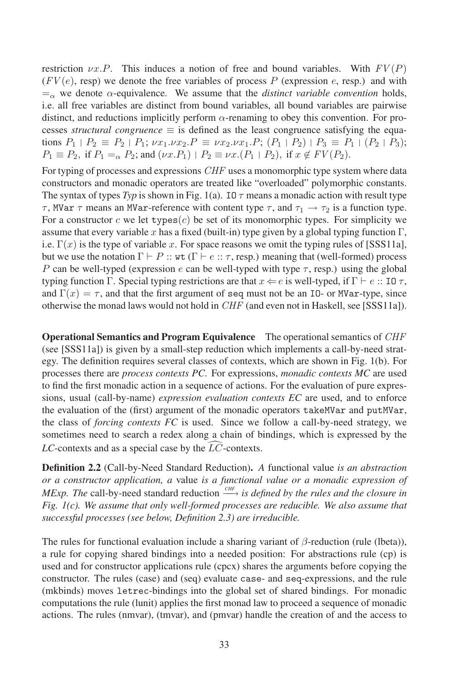restriction  $\nu x.P$ . This induces a notion of free and bound variables. With  $FV(P)$  $(FV(e),$  resp.) we denote the free variables of process P (expression e, resp.) and with  $=\alpha$  we denote  $\alpha$ -equivalence. We assume that the *distinct variable convention* holds, i.e. all free variables are distinct from bound variables, all bound variables are pairwise distinct, and reductions implicitly perform  $\alpha$ -renaming to obey this convention. For processes *structural congruence*  $\equiv$  is defined as the least congruence satisfying the equations  $P_1 | P_2 \equiv P_2 | P_1; \nu x_1 \nu x_2 \cdot P \equiv \nu x_2 \nu x_1 \cdot P; (P_1 | P_2) | P_3 \equiv P_1 | (P_2 | P_3);$  $P_1 \equiv P_2$ , if  $P_1 = \alpha P_2$ ; and  $(\nu x.P_1) | P_2 \equiv \nu x.(P_1 | P_2)$ , if  $x \notin FV(P_2)$ .

For typing of processes and expressions  $CHF$  uses a monomorphic type system where data constructors and monadic operators are treated like "overloaded" polymorphic constants. The syntax of types  $Typ$  is shown in Fig. 1(a). IO  $\tau$  means a monadic action with result type τ, MVar τ means an MVar-reference with content type τ, and  $τ_1 \rightarrow τ_2$  is a function type. For a constructor c we let types $(c)$  be set of its monomorphic types. For simplicity we assume that every variable x has a fixed (built-in) type given by a global typing function  $\Gamma$ , i.e.  $\Gamma(x)$  is the type of variable x. For space reasons we omit the typing rules of [SSS11a], but we use the notation  $\Gamma \vdash P$  :: wt  $(\Gamma \vdash e :: \tau, \text{resp.})$  meaning that (well-formed) process P can be well-typed (expression e can be well-typed with type  $\tau$ , resp.) using the global typing function Γ. Special typing restrictions are that  $x \Leftarrow e$  is well-typed, if  $\Gamma \vdash e :: \text{IO } \tau$ , and  $\Gamma(x) = \tau$ , and that the first argument of seq must not be an IO- or MVar-type, since otherwise the monad laws would not hold in  $CHF$  (and even not in Haskell, see [SSS11a]).

Operational Semantics and Program Equivalence The operational semantics of CHF (see [SSS11a]) is given by a small-step reduction which implements a call-by-need strategy. The definition requires several classes of contexts, which are shown in Fig. 1(b). For processes there are *process contexts PC*. For expressions, *monadic contexts MC* are used to find the first monadic action in a sequence of actions. For the evaluation of pure expressions, usual (call-by-name) *expression evaluation contexts EC* are used, and to enforce the evaluation of the (first) argument of the monadic operators takeMVar and putMVar, the class of *forcing contexts FC* is used. Since we followacall-by-need strategy, we sometimes need to search a redex along a chain of bindings, which is expressed by the  $LC$ -contexts and as a special case by the  $LC$ -contexts.

Definition 2.2 (Call-by-Need Standard Reduction). *A* functional value *is an abstraction or a constructor application, a* value *is a functional value or a monadic expression of MExp. The* call-by-need standard reduction  $\frac{CHF}{}$  *is defined by the rules and the closure in Fig. 1(c). We assume that only well-formed processes are reducible. We also assume that successful processes (see below, Definition 2.3) are irreducible.*

The rules for functional evaluation include a sharing variant of  $\beta$ -reduction (rule (lbeta)), a rule for copying shared bindings into a needed position: For abstractions rule (cp) is used and for constructor applications rule (cpcx) shares the arguments before copying the used and for constructor applications rule (cpcx) shares the arguments before copying the constructor. The rules (case) and (seq) evaluate case- and seq-expressions, and the rule (mkbinds) moves letrec-bindings into the global set of shared bindings. For monadic computations the rule (lunit) applies the first monad law to proceed a sequence of monadic actions. The rules (nmvar), (tmvar), and (pmvar) handle the creation of and the access to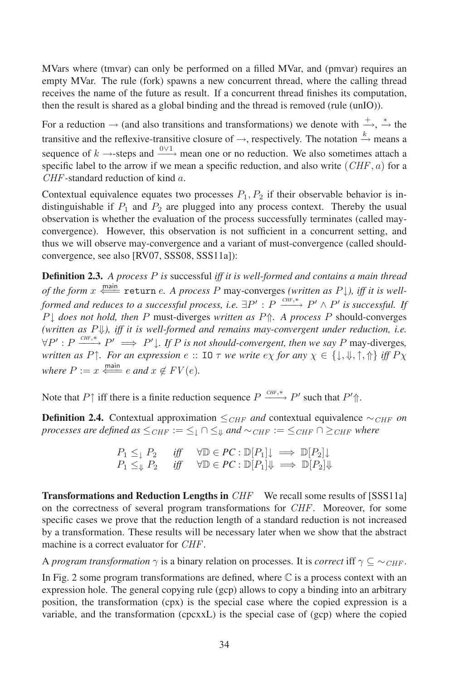MVars where (tmvar) can only be performed on a filled MVar, and (pmvar) requires an empty MVar. The rule (fork) spawns a new concurrent thread, where the calling thread receives the name of the future as result. If a concurrent thread finishes its computation, then the result is shared as a global binding and the thread is removed (rule (unIO)).

For a reduction  $\rightarrow$  (and also transitions and transformations) we denote with  $\stackrel{+}{\rightarrow}$ ,  $\stackrel{*}{\rightarrow}$  the transitive and the reflexive-transitive closure of  $\rightarrow$ , respectively. The notation  $\stackrel{k}{\rightarrow}$  means a sequence of  $k \rightarrow$ -steps and  $\frac{0 \vee 1}{k}$  mean one or no reduction. We also sometimes attach a specific label to the arrow if we mean a specific reduction, and also write  $(CHF, a)$  for a CHF-standard reduction of kind <sup>a</sup>.

Contextual equivalence equates two processes  $P_1, P_2$  if their observable behavior is indistinguishable if  $P_1$  and  $P_2$  are plugged into any process context. Thereby the usual  $\frac{1}{2}$  observation is whether the evaluation of the process successfully terminates (called mayconvergence). However, this observation is not sufficient in a concurrent setting, and thus we will observe may-convergence and a variant of must-convergence (called shouldconvergence, see also [RV07, SSS08, SSS11a]):

Definition 2.3. *A process* <sup>P</sup> *is* successful *iff it is well-formed and contains a main thread* of the form  $x \stackrel{\text{main}}{\Longleftarrow}$  return e. A process P may-converges *(written as P*  $\downarrow$ ), *iff it is wellformed and reduces to a successful process, i.e.*  $\exists P' : P \xrightarrow{CHF,*} P' \wedge P'$  *is successful. If* <sup>P</sup><sup>↓</sup> *does not hold, then* <sup>P</sup> must-diverges *written as* <sup>P</sup>⇑*. A process* <sup>P</sup> should-converges *(written as* P⇓*), iff it is well-formed and remains may-convergent under reduction, i.e.*  $\forall P' : P \xrightarrow{CHF, *} P' \implies P' \downarrow$ . If P is not should-convergent, then we say P may-diverges, *written as*  $P \uparrow$ *. For an expression*  $e$  :: IO  $\tau$  *we write*  $e \chi$  *for any*  $\chi \in \{\downarrow, \downarrow, \uparrow, \uparrow\}$  *iff*  $P \chi$ *where*  $P := x \xleftarrow{\text{main}} e$  *and*  $x \notin FV(e)$ *.* 

Note that  $P \uparrow$  iff there is a finite reduction sequence  $P \xrightarrow{CHF, *} P'$  such that  $P' \uparrow$ .

**Definition 2.4.** Contextual approximation  $\leq_{CHF}$  *and* contextual equivalence  $\sim_{CHF}$  *on processes are defined*  $as \leq_{CHF} := \leq_{\perp} \cap \leq_{\parallel} \text{ and } \sim_{CHF} := \leq_{CHF} \cap \geq_{CHF}$  where

$$
\begin{array}{lll} P_1\leq_\downarrow P_2 & \textit{iff} & \forall \mathbb{D}\in PC:\mathbb{D}[P_1]\downarrow \implies \mathbb{D}[P_2]\downarrow \\ P_1\leq_\Downarrow P_2 & \textit{iff} & \forall \mathbb{D}\in PC:\mathbb{D}[P_1]\Downarrow \implies \mathbb{D}[P_2]\Downarrow \end{array}
$$

**Transformations and Reduction Lengths in**  $CHF$  We recall some results of [SSS11a] on the correctness of several program transformations for *CHF*. Moreover, for some specific cases we prove that the reduction length of a standard reduction is not increased by a transformation. These results will be necessary later when we show that the abstract by a damsformation. These results with a machine is a correct evaluator for *CHF*.

A *program transformation*  $\gamma$  is a binary relation on processes. It is *correct* iff  $\gamma \subseteq \sim_{CHF}$ .

In Fig. 2 some program transformations are defined, where  $\mathbb C$  is a process context with an  $\frac{1}{2}$  expression hole. The general copying rule (gcp) allows to copy a binding into an arbitrary pression note. The general copying rate (gep) about to copy a omaing mee an around y<br>position, the transformation (cpx) is the special case where the copied expression is a variable, and the transformation (cpcxxL) is the special case of (gcp) where the copied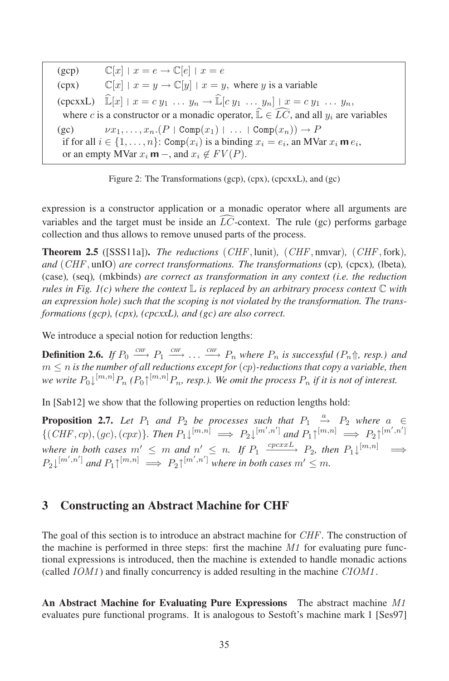(gcp) $\mathbb{C}[x] | x = e \rightarrow \mathbb{C}[e] | x = e$ (cpx) $\mathbb{C}[x]$  |  $x = y \rightarrow \mathbb{C}[y]$  |  $x = y$ , where y is a variable (cpcxxL)  $\widehat{\mathbb{L}}[x] | x = c y_1 \dots y_n \rightarrow \widehat{\mathbb{L}}[c y_1 \dots y_n] | x = c y_1 \dots y_n$ where c is a constructor or a monadic operator,  $\widehat{\mathbb{L}} \in \widehat{LC}$ , and all  $y_i$  are variables  $(g<sub>C</sub>)$  $\nu x_1, \ldots, x_n.(P | Comp(x_1) | \ldots | Comp(x_n)) \rightarrow P$ if for all  $i \in \{1, ..., n\}$ : Comp $(x_i)$  is a binding  $x_i = e_i$ , an MVar  $x_i$  **m**  $e_i$ , or an empty MVar  $x_i$  **m** –, and  $x_i \notin FV(P)$ .



expression is a constructor application or a monadic operator where all arguments are variables and the target must be inside an  $\widehat{LC}$ -context. The rule (gc) performs garbage collection and thus allows to remove unused parts of the process.

Theorem 2.5 ([SSS11a]). *The reductions* (CHF, lunit)*,* (CHF, nmvar)*,* (CHF, fork)*, and* (CHF, unIO) *are correct transformations. The transformations* (cp)*,* (cpcx)*,* (lbeta)*,* (case)*,* (seq)*,* (mkbinds) *are correct as transformation in any context (i.e. the reduction rules* in Fig. 1(c) where the context  $\mathbb{L}$  is replaced by an arbitrary process context  $\mathbb{C}$  with *an expression hole) such that the scoping is not violated by the transformation. The transformations (gcp), (cpx), (cpcxxL), and (gc) are also correct.*

We introduce a special notion for reduction lengths:

**Definition 2.6.** If  $P_0 \xrightarrow{CHF} P_1 \xrightarrow{CHF} \ldots \xrightarrow{CHF} P_n$  where  $P_n$  is successful  $(P_n \Uparrow, resp.)$  and  $m \leq n$  *is the number of all reductions except for*  $(cp)$ -reductions that  $copy$  a variable, then we write  $P_0\downarrow^{[m,n]}P_n$  ( $P_0\uparrow^{[m,n]}P_n$ , resp.). We omit the process  $P_n$  if it is not of interest.

In [Sab12] we show that the following properties on reduction lengths hold:

**Proposition 2.7.** Let  $P_1$  and  $P_2$  be processes such that  $P_1 \stackrel{a}{\rightarrow} P_2$  where  $a \in$  $\{(CHF, cp), (gc), (cpx)\}\$ . Then  $P_1\downarrow^{[m,n]} \implies P_2\downarrow^{[m',n']}$  and  $P_1\uparrow^{[m,n]} \implies P_2\uparrow^{[m',n']}$ where in both cases  $m' \leq m$  and  $n' \leq n$ . If  $P_1 \xrightarrow{cpcxxL} P_2$ , then  $P_1\downarrow^{[m,n]} \implies$  $P_2\downarrow^{[m',n']}$  and  $P_1\uparrow^{[m,n]} \implies P_2\uparrow^{[m',n']}$  where in both cases  $m'\leq m$ .

### 3 Constructing an Abstract Machine for CHF

The goal of this section is to introduce an abstract machine for *CHF*. The construction of the goal of ans section is to into date an abstract machine for  $\circ$ *H1* : The construction of the machine is performed in three steps: first the machine *M1* for evaluating pure functional expressions is introduced, then the machine is extended to handle monadic actions (called *IOM1*) and finally concurrency is added resulting in the machine *CIOM1*.

An Abstract Machine for Evaluating Pure Expressions The abstract machine M1 evaluates pure functional programs. It is analogous to Sestoft's machine mark 1 [Ses97]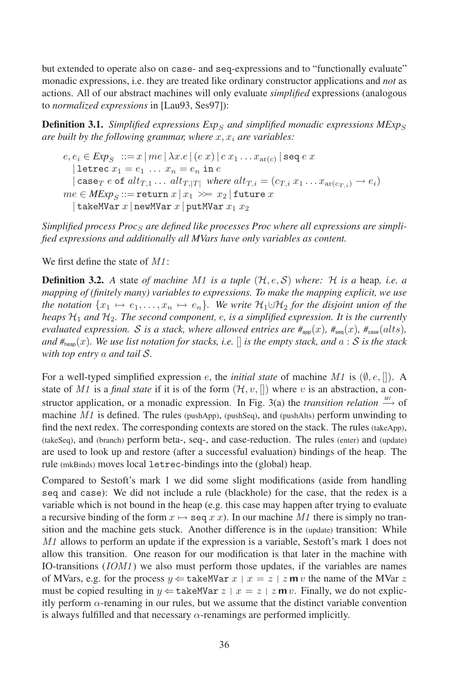but extended to operate also on case- and seq-expressions and to "functionally evaluate" monadic expressions, i.e. they are treated like ordinary constructor applications and *not* as actions. All of our abstract machines will only evaluate *simplified* expressions (analogous to *normalized expressions* in [Lau93, Ses97]):

**Definition 3.1.** *Simplified expressions*  $Exp_S$  *and simplified monadic expressions*  $MExp_S$ *are built* by the following grammar, where  $x, x_i$  are variables:

$$
e, e_i \in Exp_S ::= x \mid me \mid \lambda x. e \mid (e \ x) \mid c \ x_1 \dots x_{\text{ar}(c)} \mid \text{seq } e \ x
$$
\n
$$
\mid \text{letrec } x_1 = e_1 \dots x_n = e_n \text{ in } e
$$
\n
$$
\mid \text{case}_T e \text{ of } alt_{T,1} \dots alt_{T,|T|} \text{ where } alt_{T,i} = (c_{T,i} \ x_1 \dots x_{\text{ar}(c_{T,i})} \rightarrow e_i)
$$
\n
$$
me \in MExp_S ::= \text{return } x \mid x_1 \gg = x_2 \mid \text{future } x
$$
\n
$$
\mid \text{takeMVar } x \mid \text{newMVar } x_1 x_2
$$

Simplified process Proc<sub>S</sub> are defined like processes Proc where all expressions are simpli*fied expressions and additionally all MVars have only variables as content.*

We first define the state of  $M1$ :

**Definition 3.2.** A state of machine M1 is a tuple  $(H, e, S)$  where: H is a heap, i.e. a *mapping of (finitely many) variables to expressions. To make the mapping explicit, we use the notation*  $\{x_1 \mapsto e_1, \ldots, x_n \mapsto e_n\}$ *. We write*  $\mathcal{H}_1 \cup \mathcal{H}_2$  *for the disjoint union of the heaps*  $\mathcal{H}_1$  *and*  $\mathcal{H}_2$ *. The second component, e, is a simplified expression. It is the currently evaluated expression. S is a stack, where allowed entries are*  $\#_{\text{apo}}(x)$ *,*  $\#_{\text{sea}}(x)$ *,*  $\#_{\text{case}}(alts)$ *, and*  $#_{\text{hean}}(x)$ *. We use list notation for stacks, i.e.*  $\lceil \rceil$  *is the empty stack, and*  $a : S$  *is the stack with top entry* a *and tail* S*.*

For a well-typed simplified expression e, the *initial state* of machine M1 is  $(\emptyset, e, []$ ). A state of M1 is a *final state* if it is of the form  $(\mathcal{H}, v, []$ ) where v is an abstraction, a constructor application, or a monadic expression. In Fig. 3(a) the *transition relation*  $\stackrel{M1}{\longrightarrow}$  of machine  $M1$  is defined. The rules (pushApp), (pushSeq), and (pushAlts) perform unwinding to find the next redex. The corresponding contexts are stored on the stack. The rules (takeApp), (takeSeq), and (branch) perform beta-, seq-, and case-reduction. The rules (enter) and (update) are used to look up and restore (after a successful evaluation) bindings of the heap. The rule (mkBinds) moves local letrec-bindings into the (global) heap.

Compared to Sestoft's mark 1 we did some slight modifications (aside from handling seq and case): We did not include a rule (blackhole) for the case, that the redex is a variable which is not bound in the heap (e.g. this case may happen after trying to evaluate a recursive binding of the form  $x \mapsto \text{seq } x x$ ). In our machine M1 there is simply no transition and the machine gets stuck. Another difference is in the (update) transition: While M1 allows to perform an update if the expression is a variable, Sestoft's mark 1 does not allow this transition. One reason for our modification is that later in the machine with IO-transitions (*IOM1*) we also must perform those updates, if the variables are names of MVars, e.g. for the process  $y \leftarrow \text{takeMVar } x \mid x = z \mid z \text{ m } v$  the name of the MVar z of m vas, e.g. for the process  $y \leftarrow$  subcrivent  $x \mid x = z + z$  in v the name of the m varies of the m varies of the m varies of the m varies of the m varies of the m varies of the m varies of the m varies of the m varies of itly perform  $\alpha$ -renaming in our rules, but we assume that the distinct variable convention is always fulfilled and that necessary  $\alpha$ -renamings are performed implicitly.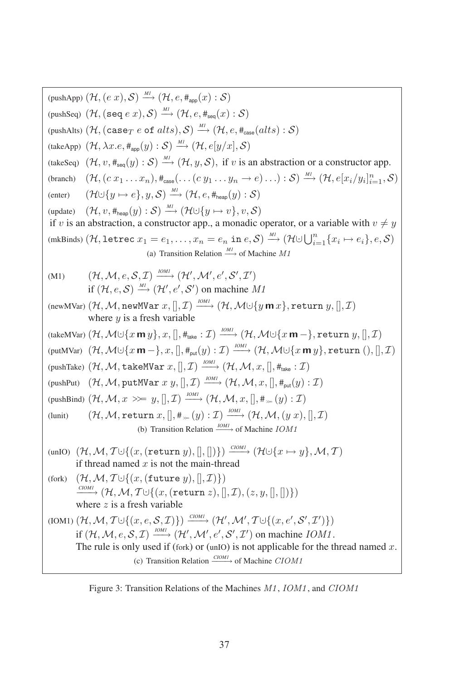(pushApp) (H, (e x), S) 
$$
\xrightarrow{M} (H, e, #_{app}(x): S)
$$
  
\n(pushAlso) (H, (see e x), S)  $\xrightarrow{M} (H, e, #_{app}(x): S)$   
\n(pushAlts) (H, (case e of alts), S)  $\xrightarrow{M} (H, e, #_{app}(alts): S)$   
\n(takeApp) (H, λx.e,  $#_{app}(y): S$ )  $\xrightarrow{M} (H, e[y/x], S)$   
\n(takeSeq) (H, v,  $#_{sep}(y): S$ )  $\xrightarrow{M} (H, e[y/x], S)$   
\n(takeSeq) (H, v,  $#_{sep}(y): S$ )  $\xrightarrow{M} (H, e,y,S)$ , if v is an abstraction or a constructor app.  
\n(branch) (H, (c x<sub>1</sub>... x<sub>n</sub>),  $#_{case}... (C y1... yn → e)...): S$ )  $\xrightarrow{M} (H, e[xi/yi]i=1, S)$   
\n(enter) (H∪[y → e], y, S)  $\xrightarrow{M} (H∪[y → v]$ , v, S)  
\nif v is an abstraction, a constructor app., a monadic operator, or a variable with  $v \neq y$   
\n(mkBinds) (H, letrec x<sub>1</sub> = e<sub>1</sub>,..., x<sub>n</sub> = e<sub>n</sub> in e, S)  $\xrightarrow{M} (H∪[yi=1 {xi → ei}, e, S)$   
\n(a) Transition Relation  $\xrightarrow{M} (H, M(:g', S', T')$   
\nif (H, e, S)  $\xrightarrow{M} (H', M'; e', S', T')$   
\nif (H, e, S)  $\xrightarrow{M} (H', M'; e', S', T')$   
\nif (H, e, S)  $\xrightarrow{M} (H', M'; e', S', T')$   
\nif (H, e, S)  $\xrightarrow{M} (H', M'; x', S', T')$   
\nwhere y is a fresh variable  
\n(takeMVar) (H, M(15<sub>i</sub> m r), x],  $\theta_{min} (H, M∪[y m x],$  return y,[], T)  
\n(pushPut) (H, M, takelWar x,[],

Figure 3: Transition Relations of the Machines  $M1$ ,  $IOM1$ , and  $C IOM1$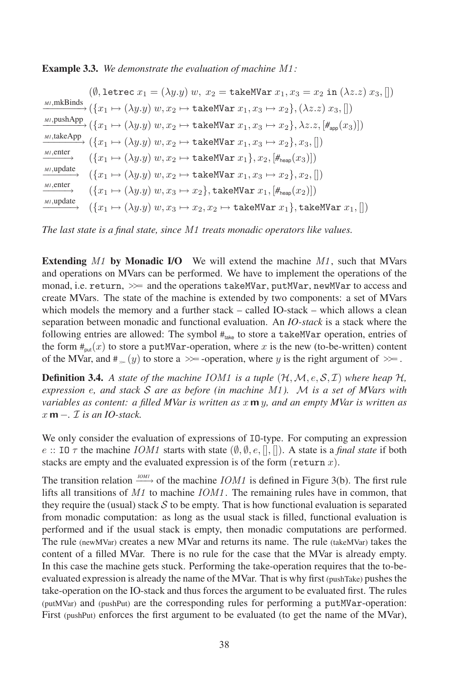#### Example 3.3. *We demonstrate the evaluation of machine* M1 *:*

 $(\emptyset, \text{letrec } x_1 = (\lambda y. y) w, x_2 = \text{takeMVar } x_1, x_3 = x_2 \text{ in } (\lambda z. z) x_3, []$ *M1*,mkBinds  $\rightarrow$   $({x_1 \mapsto (\lambda y.y) w, x_2 \mapsto \texttt{takeMVar}\ x_1, x_3 \mapsto x_2}, (\lambda z.z) x_3, []$ *M1*,pushApp  $\rightarrow (\{x_1 \mapsto (\lambda y_1 y) w, x_2 \mapsto \text{takeMVar } x_1, x_3 \mapsto x_2\}, \lambda z. z, [\#_{\text{ann}}(x_3)])$ *M1*,takeApp  $(\{x_1 \mapsto (\lambda y. y) \ w, x_2 \mapsto \text{takeMVar } x_1, x_3 \mapsto x_2\}, x_3, []$ *M1*,enter  $(\{x_1 \mapsto (\lambda y. y) \ w, x_2 \mapsto \text{takeMVar } x_1\}, x_2, [\#_{\text{hom}}(x_3)])$ *M1*,update  $({x_1 \mapsto (\lambda y.y) w, x_2 \mapsto \text{takeMVar } x_1, x_3 \mapsto x_2}, x_2, \ldots)$ *M1*,enter  $({x_1 \mapsto (\lambda y.y) w, x_3 \mapsto x_2}, \text{takeMVar } x_1, [\#_{\text{hean}}(x_2)])$ *M1*,update  $({x_1 \mapsto (\lambda y.y) w, x_3 \mapsto x_2, x_2 \mapsto \texttt{takeMVar} x_1}, \texttt{takeMVar} x_1, []$ 

*The last state is a final state, since* M1 *treats monadic operators like values.*

**Extending M1 by Monadic I/O** We will extend the machine  $M_1$ , such that MVars and operations on MVars can be performed. We have to implement the operations of the monad, i.e. return,  $\gg$  and the operations takeMVar, putMVar, newMVar to access and monad, i.e. return,  $\gg$  and the operations takeMVar, putMVar, newMVar to access and create MVars. The state of the machine is extended by two components: a set of MVars which models the memory and a further stack – called IO-stack – which allows a clean separation between monadic and functional evaluation. An *IO-stack* is a stack where the following entries are allowed: The symbol  $#_{\text{take}}$  to store a takeMVar operation, entries of the form  $#_{put}(x)$  to store a putMVar-operation, where x is the new (to-be-written) content of the MVar, and  $\#_{\infty}(y)$  to store a  $\gg$  -operation, where y is the right argument of  $\gg$ .

**Definition 3.4.** A state of the machine IOM1 is a tuple  $(H, M, e, S, I)$  where heap H, *expression* e*, and stack* S *are as before (in machine* M1 *).* M *is a set of MVars with variables as content: a filled MVar is written as* x **m** y*, and an empty MVar is written as* x **m** −*.* I *is an IO-stack.*

We only consider the evaluation of expressions of IO-type. For computing an expression e :: IO  $\tau$  the machine *IOM1* starts with state  $(\emptyset, \emptyset, e, \|, \|)$ . A state is a *final state* if both stacks are empty and the evaluated expression is of the form (return x).

The transition relation  $\frac{10M1}{2}$  of the machine *IOM1* is defined in Figure 3(b). The first rule lifts all transitions of *M1* to machine *IOM1*. The remaining rules have in common, that they require the (usual) stack  $S$  to be empty. That is how functional evaluation is separated from monadic computation: as long as the usual stack is filled, functional evaluation is performed and if the usual stack is empty, then monadic computations are performed. The rule (newMVar) creates a new MVar and returns its name. The rule (takeMVar) takes the content of a filled MVar. There is no rule for the case that the MVar is already empty. In this case the machine gets stuck. Performing the take-operation requires that the to-beevaluated expression is already the name of the MVar. That is why first (pushTake) pushes the evaluated expression is already the name of the MVar. That is why first (pushTake) pushes the take-operation on the IO-stack and thus forces the argument to be evaluated first. The rules (putMVar) and (pushPut) are the corresponding rules for performing <sup>a</sup> putMVar-operation: First (pushPut) enforces the first argument to be evaluated (to get the name of the MVar),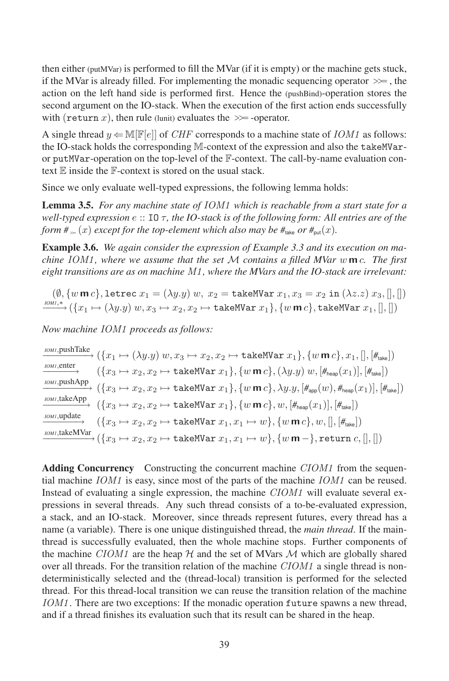then either (putMVar) is performed to fill the MVar (if it is empty) or the machine gets stuck, if the MVar is already filled. For implementing the monadic sequencing operator  $\gg$  , the action on the left hand side is performed first. Hence the (pushBind)-operation stores the second argument on the IO-stack. When the execution of the first action ends successfully with (return  $x$ ), then rule (lunit) evaluates the  $\gg$  -operator.

A single thread  $y \leftarrow \mathbb{M}[\mathbb{F}[e]]$  of *CHF* corresponds to a machine state of *IOM1* as follows: the IO-stack holds the corresponding  $M$ -context of the expression and also the takeMVaror putMVar-operation on the top-level of the <sup>F</sup>-context. The call-by-name evaluation context  $E$  inside the  $F$ -context is stored on the usual stack.

Since we only evaluate well-typed expressions, the following lemma holds:

Lemma 3.5. *For any machine state of* IOM1 *which is reachable from a start state for a well-typed expression* e :: IO τ *, the IO-stack is of the following form: All entries are of the form*  $\#_{\infty}(x)$  *except for the top-element which also may be*  $\#_{\text{take}}$  *or*  $\#_{\text{out}}(x)$ *.* 

Example 3.6. *We again consider the expression of Example 3.3 and its execution on machine* IOM1 *, where we assume that the set* M *contains a filled MVar* w **m** c*. The first eight transitions are as on machine* M1 *, where the MVars and the IO-stack are irrelevant:*

 $(\emptyset, \{w \mathbf{m} c\}, \text{letrec } x_1 = (\lambda y. y) w, x_2 = \text{takeMVar } x_1, x_3 = x_2 \text{ in } (\lambda z. z) x_3, \|, \|)$  $\stackrel{IOM1,*}{\longrightarrow}$   $(\{x_1 \mapsto (\lambda y.y)\ w,x_3 \mapsto x_2,x_2 \mapsto \texttt{takeMVar}\ x_1\},\{w\ \textsf{m}\ c\},\texttt{takeMVar}\ x_1,[],[]\ )$ 

*Now machine* IOM1 *proceeds as follows:*

*IOM1*,pushTake  $\overrightarrow{h_{\text{DM}}, \text{puslinear}}$   $\rightarrow (\{x_1 \mapsto (\lambda y. y) \ w, x_3 \mapsto x_2, x_2 \mapsto \text{takeMVar } x_1\}, \{w \ \textsf{m} \ c\}, x_1, [] , [\#_{\text{take}}])$ *IOM1*,enter  $\longrightarrow$   $\{x_3 \mapsto x_2, x_2 \mapsto \texttt{takeMVar}\ x_1\}, \{w \textbf{m} \ c\}, (\lambda y. y) \ w, [\#_{\texttt{heap}}(x_1)], [\#_{\texttt{take}}])$ *IOM1*,pushApp  $\longrightarrow$   $(\{x_3 \mapsto x_2, x_2 \mapsto \texttt{takeMVar}\ x_1\}, \{w \textbf{m} \ c\}, \lambda y. y, [\#_{\textsf{app}}(w), \#_{\textsf{heap}}(x_1)], [\#_{\textsf{take}}])$ *IOM1*,takeApp  $\longrightarrow \longrightarrow (\{x_3 \mapsto x_2, x_2 \mapsto \texttt{takeMVar}\ x_1\}, \{w\ \textsf{m}\ c\}, w, [\#_{\textsf{heap}}(x_1)], [\#_{\textsf{take}}])$ *IOM1*,update  $\longrightarrow$   $\{x_3 \mapsto x_2, x_2 \mapsto \texttt{takeMVar}\ x_1, x_1 \mapsto w\}, \{w \textbf{m} \ c\}, w, [] , [\#_{\texttt{take}}])$ *IOM1*,takeMVar  $\overrightarrow{m_{m1}, \text{inter.} \text{where}} \ (\{x_3 \mapsto x_2, x_2 \mapsto \text{takeMVar} \ x_1, x_1 \mapsto w\}, \{w \ \textsf{m}-\}, \text{return} \ c,[],[] \$ 

Adding Concurrency Constructing the concurrent machine CIOM1 from the sequential machine *IOM1* is easy, since most of the parts of the machine *IOM1* can be reused. Instead of evaluating a single expression, the machine CIOM1 will evaluate several expressions in several threads. Any such thread consists of a to-be-evaluated expression, a stack, and an IO-stack. Moreover, since threads represent futures, every thread has a name (a variable). There is one unique distinguished thread, the *main thread*. If the mainthread is successfully evaluated, then the whole machine stops. Further components of the machine  $C I O M 1$  are the heap  $H$  and the set of MVars  $M$  which are globally shared over all threads. For the transition relation of the machine CIOM1 a single thread is nondeterministically selected and the (thread-local) transition is performed for the selected thread. For this thread-local transition we can reuse the transition relation of the machine IOM1 . There are two exceptions: If the monadic operation future spawns a new thread, and if a thread finishes its evaluation such that its result can be shared in the heap.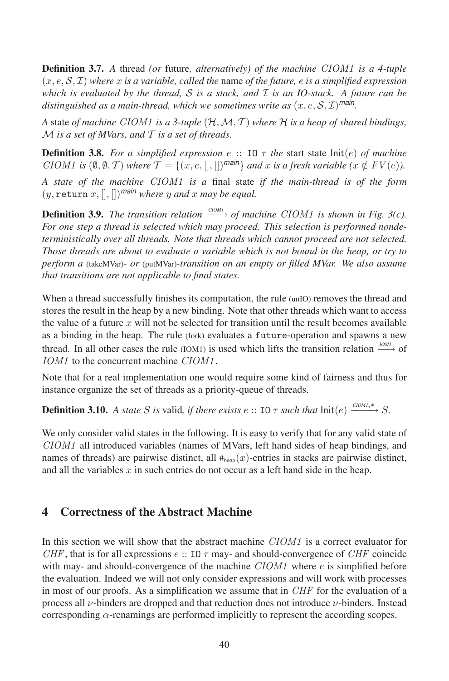Definition 3.7. *<sup>A</sup>* thread *(or* future*, alternatively) of the machine* CIOM1 *is a 4-tuple* (x, e, <sup>S</sup>, <sup>I</sup>) *where* <sup>x</sup> *is a variable, called the* name *of the future,* <sup>e</sup> *is a simplified expression which is evaluated by the thread,* S *is a stack, and* I *is an IO-stack. A future can be* distinguished as a main-thread, which we sometimes write as  $(x, e, S, \mathcal{I})^{\text{main}}$ .

*<sup>A</sup>* state *of machine* CIOM1 *is a 3-tuple* (H,M, <sup>T</sup> ) *where* <sup>H</sup> *is a heap of shared bindings,* M *is a set of MVars, and* T *is a set of threads.*

**Definition 3.8.** For a simplified expression e :: IO  $\tau$  the start state  $Init(e)$  of machine CIOM1 is  $(\emptyset, \emptyset, \mathcal{T})$  where  $\mathcal{T} = \{(x, e, \Pi, \Pi)$ <sup>main</sup>} and x is a fresh variable  $(x \notin FV(e))$ .

*A state of the machine* CIOM1 *is <sup>a</sup>* final state *if the main-thread is of the form*  $(y, \text{return } x, \|, \|)$ <sup>*main*</sup> *where*  $y$  *and*  $x$  *may be equal.* 

**Definition 3.9.** *The transition relation*  $\xrightarrow{C[OM]}$  *of machine CIOM1 is shown in Fig.* 3(*c*). *For one step a thread is selected which may proceed. This selection is performed nondeterministically over all threads. Note that threads which cannot proceed are not selected. Those threads are about to evaluate a variable which is not bound in the heap, or try to perform a* (takeMVar)*- or* (putMVar)*-transition on an empty or filled MVar. We also assume that transitions are not applicable to final states.*

When a thread successfully finishes its computation, the rule (unIO) removes the thread and stores the result in the heap by a new binding. Note that other threads which want to access the value of a future  $x$  will not be selected for transition until the result becomes available as a binding in the heap. The rule (fork) evaluates a future-operation and spawns a new thread. In all other cases the rule (IOM1) is used which lifts the transition relation <sup>*IOM1*</sup>→ of IOM1 to the concurrent machine CIOM1.

Note that for a real implementation one would require some kind of fairness and thus for instance organize the set of threads as a priority-queue of threads.

**Definition 3.10.** *A state S is* valid, *if there exists*  $e$  :: IO  $\tau$  *such that*  $\text{Init}(e) \xrightarrow{COM1,*} S$ .

We only consider valid states in the following. It is easy to verify that for any valid state of CIOM1 all introduced variables (names of MVars, left hand sides of heap bindings, and names of threads) are pairwise distinct, all  $#_{\text{heap}}(x)$ -entries in stacks are pairwise distinct, and all the variables x in such entries do not occur as a left hand side in the heap.

## 4 Correctness of the Abstract Machine

In this section we will show that the abstract machine *CIOM1* is a correct evaluator for CHF, that is for all expressions  $e$ :: IO  $\tau$  may- and should-convergence of CHF coincide with may- and should-convergence of the machine  $CIOM1$  where  $e$  is simplified before the evaluation. Indeed we will not only consider expressions and will work with processes in most of our proofs. As a simplification we assume that in *CHF* for the evaluation of a process all  $\nu$ -binders are dropped and that reduction does not introduce  $\nu$ -binders. Instead  $\alpha$ -renamings are performed implicitly to represent the according scopes.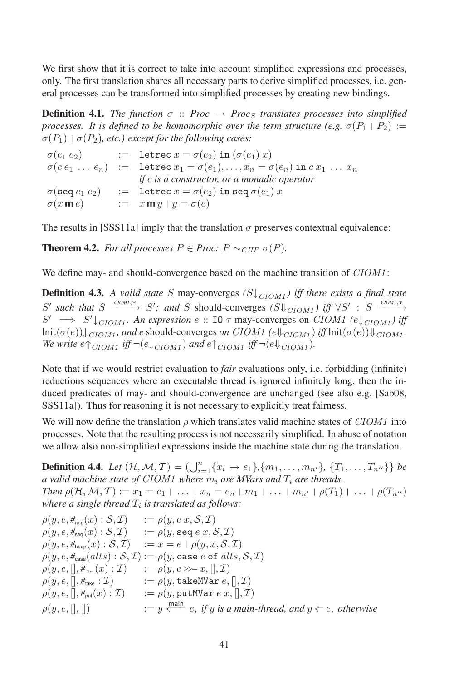We first show that it is correct to take into account simplified expressions and processes, only. The first translation shares all necessary parts to derive simplified processes, i.e. general processes can be transformed into simplified processes by creating new bindings.

**Definition 4.1.** *The function*  $\sigma$  :: *Proc*  $\rightarrow$  *Proc<sub>S</sub> translates processes into simplified processes.* It is defined to be homomorphic over the term structure (e.g.  $\sigma(P_1 \mid P_2) :=$  $\sigma(P_1)$  |  $\sigma(P_2)$ *, etc.) except for the following cases:* 

 $\sigma(e_1 \, e_2)$  := letrec  $x = \sigma(e_2)$  in  $(\sigma(e_1) \, x)$  $\sigma(c \, e_1 \, \ldots \, e_n) \equiv \text{letrec } x_1 = \sigma(e_1), \ldots, x_n = \sigma(e_n) \text{ in } c \, x_1 \, \ldots \, x_n$ *if* c *is a constructor, oramonadic operator*  $\sigma(\texttt{seq}~e_1~e_2)$  := letrec  $x = \sigma(e_2)$  in seq  $\sigma(e_1)$  x  $\sigma(x \mathbf{m} e)$  :=  $x \mathbf{m} y | y = \sigma(e)$ 

The results in [SSS11a] imply that the translation  $\sigma$  preserves contextual equivalence:

**Theorem 4.2.** *For all processes*  $P \in \text{Proc: } P \sim_{CHF} \sigma(P)$ *.* 

We define may- and should-convergence based on the machine transition of  $C I O M1$ :

**Definition 4.3.** A valid state S may-converges  $(S \downarrow_{C I O M_1})$  iff there exists a final state  $S'$  such that  $S \xrightarrow{COM1,*} S'$ ; and  $S$  should-converges  $(S \downarrow \downarrow_{C1OM1})$  iff  $\forall S' : S \xrightarrow{COM1,*}$  $S' \implies S' \downarrow_{C I O M_1}$ . An expression e :: IO  $\tau$  may-converges on CIOM1  $(e \downarrow_{C I O M_1})$  iff  $\text{Init}(\sigma(e)) \downarrow_{C I O M1}$ *, and e* should-converges *on* CIOM1  $(e \Downarrow_{C I O M1})$  *iff*  $\text{Init}(\sigma(e)) \Downarrow_{C I O M1}$ *. We* write  $e \uparrow_{CION1}$  *iff*  $\neg(e \downarrow_{CION1})$  *and*  $e \uparrow_{CION1}$  *iff*  $\neg(e \downarrow_{CION1})$ *.* 

Note that if we would restrict evaluation to *fair* evaluations only, i.e. forbidding (infinite) reductions sequences where an executable thread is ignored infinitely long, then the induced predicates of may- and should-convergence are unchanged (see also e.g. [Sab08, structure producted by may had should convergence are diferently (see all SSS11a). Thus for reasoning it is not necessary to explicitly treat fairness.

We will now define the translation  $\rho$  which translates valid machine states of CIOM1 into processes. Note that the resulting process is not necessarily simplified. In abuse of notation processes. processes. Two that the resulting process is not necessarily simplemed. In abase of hotate<br>we allow also non-simplified expressions inside the machine state during the translation.

**Definition 4.4.** Let  $(\mathcal{H}, \mathcal{M}, \mathcal{T}) = (\bigcup_{i=1}^{n} \{x_i \mapsto e_1\}, \{m_1, \ldots, m_{n'}\}, \{T_1, \ldots, T_{n''}\}\}\)$  be *a* valid machine state of CIOM1 where  $m_i$  are MVars and  $T_i$  are threads. *Then*  $\rho(\mathcal{H}, \mathcal{M}, \mathcal{T}) := x_1 = e_1 \mid \ldots \mid x_n = e_n \mid m_1 \mid \ldots \mid m_{n'} \mid \rho(T_1) \mid \ldots \mid \rho(T_{n''})$ where a single thread  $T_i$  is translated as follows:

$$
\rho(y, e, \#_{\text{app}}(x) : S, \mathcal{I}) := \rho(y, e, x, S, \mathcal{I})
$$
\n
$$
\rho(y, e, \#_{\text{seq}}(x) : S, \mathcal{I}) := \rho(y, \text{seq } e \ x, S, \mathcal{I})
$$
\n
$$
\rho(y, e, \#_{\text{heap}}(x) : S, \mathcal{I}) := x = e \mid \rho(y, x, S, \mathcal{I})
$$
\n
$$
\rho(y, e, \#_{\text{case}}(alts) : S, \mathcal{I}) := \rho(y, \text{case } e \text{ of } alts, S, \mathcal{I})
$$
\n
$$
\rho(y, e, [], \#_{\infty}(x) : \mathcal{I}) := \rho(y, e \gg_{\infty} x, [], \mathcal{I})
$$
\n
$$
\rho(y, e, [], \#_{\text{fake}} : \mathcal{I}) := \rho(y, \text{takeMVar } e, [], \mathcal{I})
$$
\n
$$
\rho(y, e, [], \#_{\text{put}}(x) : \mathcal{I}) := \rho(y, \text{putMVar } e \ x, [], \mathcal{I})
$$
\n
$$
\rho(y, e, [], []) := y \stackrel{\text{main}}{\iff} e, \text{ if } y \text{ is a main-thread, and } y \Leftarrow e, \text{ otherwise}
$$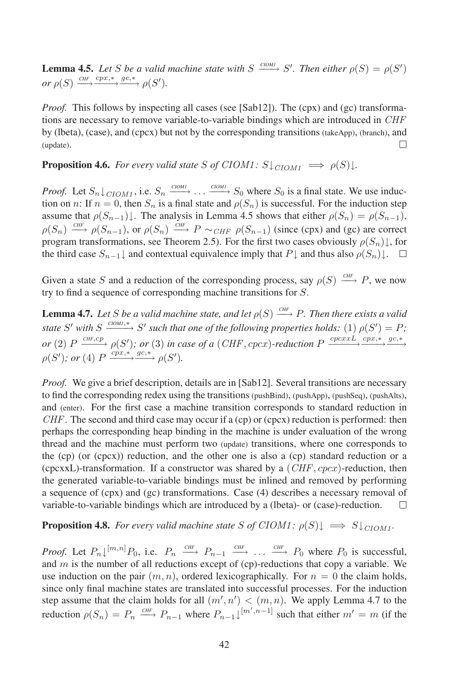**Lemma 4.5.** Let *S* be a valid machine state with  $S \xrightarrow{COM1} S'$ . Then either  $\rho(S) = \rho(S')$ or  $\rho(S) \xrightarrow{CHF} \xrightarrow{cpx,*} \xrightarrow{gc,*} \rho(S').$ 

*Proof.* This follows by inspecting all cases (see [Sab12]). The (cpx) and (gc) transformations are necessary to remove variable-to-variable bindings which are introduced in *CHF* by (lbeta), (case), and (cpcx) but not by the corresponding transitions (takeApp), (branch), and (update). $\Box$ 

**Proposition 4.6.** *For every valid state* S of CIOM1:  $S \downarrow_{CION1} \implies \rho(S) \downarrow$ *.* 

*Proof.* Let  $S_n \downarrow_{C I O M_1}$ , i.e.  $S_n \xrightarrow{C I O M_1} \ldots \xrightarrow{C I O M_1} S_0$  where  $S_0$  is a final state. We use induction on n: If  $n = 0$ , then  $S_n$  is a final state and  $\rho(S_n)$  is successful. For the induction step assume that  $\rho(S_{n-1})$ . The analysis in Lemma 4.5 shows that either  $\rho(S_n) = \rho(S_{n-1})$ ,  $\rho(S_n) \stackrel{CHF}{\longrightarrow} \rho(S_{n-1}),$  or  $\rho(S_n) \stackrel{CHF}{\longrightarrow} P \sim_{CHF} \rho(S_{n-1})$  (since (cpx) and (gc) are correct program transformations, see Theorem 2.5). For the first two cases obviously  $\rho(S_n)$ <sup>1</sup>, for program transformations, see Theorem 2.5). For the first two cases obviously  $\rho(S_n)$ <sup>1</sup>, for the third case  $S_{n-1}$  and contextual equivalence imply that  $P\downarrow$  and thus also  $\rho(S_n)\downarrow$ .

Given a state S and a reduction of the corresponding process, say  $\rho(S) \stackrel{CHF}{\longrightarrow} P$ , we now try to find a sequence of corresponding machine transitions for S.

**Lemma 4.7.** Let S be a valid machine state, and let  $\rho(S) \stackrel{CHF}{\longrightarrow} P$ . Then there exists a valid *state*  $S'$  *with*  $S \xrightarrow{c$ *clom<sub>1</sub>*,\* $\rightarrow$   $S'$  *such that one of the following properties holds:* (1)  $\rho(S') = P$ ;  $or$  (2)  $P \xrightarrow{CHF,cp} \rho(S')$ ;  $or$  (3) in case of a (CHF, cpcx)-reduction  $P \xrightarrow{cpcxL} \xrightarrow{crx,*} \xrightarrow{gc,*}$  $\rho(S')$ ; or (4)  $P \xrightarrow{cpx, * \text{ }gc, *} \rho(S')$ .

*Proof.* We give a brief description, details are in [Sab12]. Several transitions are necessary to find the corresponding redex using the transitions (pushBind), (pushApp), (pushSeq), (pushAlts), and (enter). For the first case a machine transition corresponds to standard reduction in  $CHF$ . The second and third case may occur if a (cp) or (cpcx) reduction is performed: then perhaps the corresponding heap binding in the machine is under evaluation of the wrong thread and the machine must perform two (update) transitions, where one corresponds to the (cp) (or (cpcx)) reduction, and the other one is also a (cp) standard reduction or a (cpcxxL)-transformation. If a constructor was shared by a  $(CHF, cpcx)$ -reduction, then the generated variable-to-variable bindings must be inlined and removed by performing a sequence of (cpx) and (gc) transformations. Case (4) describes a necessary removal of variable-to-variable bindings which are introduced by a (lbeta)- or (case)-reduction.  $\Box$ 

#### **Proposition 4.8.** *For every valid machine state*  $S$  *of*  $C I O M 1$ *:*  $\rho(S) \downarrow \implies S \downarrow_{C I O M 1}$ *.*

*Proof.* Let  $P_n\downarrow^{[m,n]}P_0$ , i.e.  $P_n \xrightarrow{CHF} P_{n-1} \xrightarrow{CHF} \dots \xrightarrow{CHF} P_0$  where  $P_0$  is successful, and m is the number of all reductions except of (cp)-reductions that copy a variable. We all  $m$  is successive, use induction on the pair  $(m, n)$ , ordered lexicographically. For  $n = 0$  the claim holds, since only final machine states are translated into successful processes. For the induction since only final machine states are translated into street star processes. For the induction step assume that the claim holds for all  $(m', n') < (m, n)$ . We apply Lemma 4.7 to the reduction  $\rho(S_n) = P_n \xrightarrow{CHF} P_{n-1}$  where  $P_{n-1} \downarrow [m', n-1]$  such that either  $m' = m$  (if the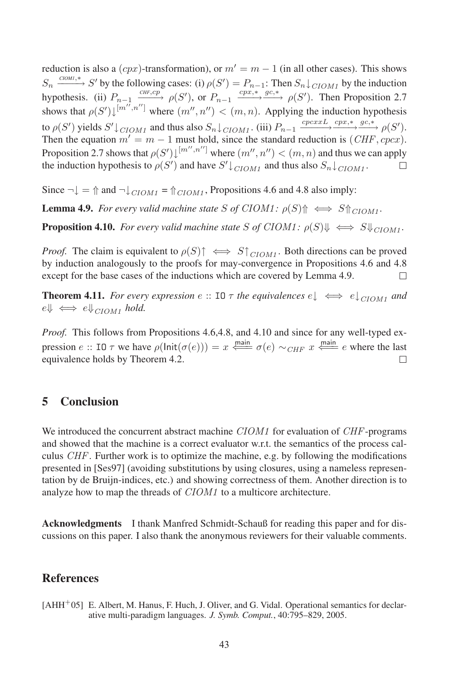reduction is also a  $(cpx)$ -transformation), or  $m' = m - 1$  (in all other cases). This shows  $S_n \xrightarrow{COM1,*} S'$  by the following cases: (i)  $\rho(S') = P_{n-1}$ : Then  $S_n \downarrow_{C I O M1}$  by the induction<br>hypothesis. (ii)  $P_{n-1} \xrightarrow{CHr, cp} \rho(S')$ , or  $P_{n-1} \xrightarrow{cpx,*} \frac{gc_1,*}{g c_2,*} \rho(S')$ . Then Proposition 2.7 shows that  $\rho(S')\downarrow^{[m'',n'']}$  where  $(m'',n'') < (m,n)$ . Applying the induction hypothesis to  $\rho(S')$  yields  $S' \downarrow_{C I O M1}$  and thus also  $S_n \downarrow_{C I O M1}$ . (iii)  $P_{n-1} \xrightarrow{c p c x x L} \xrightarrow{c p x,*} \xrightarrow{g c,*} \rho(S')$ . Then the equation  $m' = m - 1$  must hold, since the standard reduction is (*CHF*, *cpcx*). Proposition 2.7 shows that  $\rho(S')\downarrow^{[m'',n'']}$  where  $(m'',n'') < (m,n)$  and thus we can apply the induction hypothesis to  $\rho(S')$  and have  $S' \downarrow_{C I O M_1}$  and thus also  $S_n \downarrow_{C I O M_1}$ .

Since  $\neg \downarrow$  =  $\Uparrow$  and  $\neg \downarrow$   $\bigcup_{C I O M 1}$  =  $\Uparrow_{C I O M 1}$ , Propositions 4.6 and 4.8 also imply:

**Lemma 4.9.** *For every valid machine state* S of CIOM1:  $\rho(S)$   $\Rightarrow$  S $\uparrow$ <sub>CIOM1</sub>.

**Proposition 4.10.** *For every valid machine state* S of CIOM1:  $\rho(S) \Downarrow \iff S \Downarrow_{CION1}$ .

*Proof.* The claim is equivalent to  $\rho(S) \uparrow \iff S \uparrow_{C I O M}$ . Both directions can be proved by induction analogously to the proofs for may-convergence in Propositions 4.6 and 4.8 except for the base cases of the inductions which are covered by Lemma 4.9. П

**Theorem 4.11.** *For every expression*  $e::$  **IO**  $\tau$  *the equivalences*  $e \downarrow \iff e \downarrow_{C I O M1}$  *and*  $e\Downarrow \iff e\Downarrow_{C I O M}$  hold.

*Proof.* This follows from Propositions 4.6,4.8, and 4.10 and since for any well-typed expression  $e$  :: IO  $\tau$  we have  $\rho(\text{Init}(\sigma(e))) = x \stackrel{\text{main}}{\Longleftarrow} \sigma(e) \sim_{CHF} x \stackrel{\text{main}}{\Longleftarrow} e$  where the last equivalence holds by Theorem 4.2.

### 5 Conclusion

We introduced the concurrent abstract machine CIOM1 for evaluation of CHF-programs and showed that the machine is a correct evaluator w.r.t. the semantics of the process calculus *CHF*. Further work is to optimize the machine, e.g. by following the modifications presented in [Ses97] (avoiding substitutions by using closures, using a nameless representation by de Bruijn-indices, etc.) and showing correctness of them. Another direction is to analyze how to map the threads of *CIOM1* to a multicore architecture.

Acknowledgments I thank Manfred Schmidt-Schauß for reading this paper and for discussions on this paper. I also thank the anonymous reviewers for their valuable comments.

### References

[AHH<sup>+</sup>05] E. Albert, M. Hanus, F. Huch, J. Oliver, and G. Vidal. Operational semantics for declarative multi-paradigm languages. *J. Symb. Comput.*, 40:795–829, 2005.